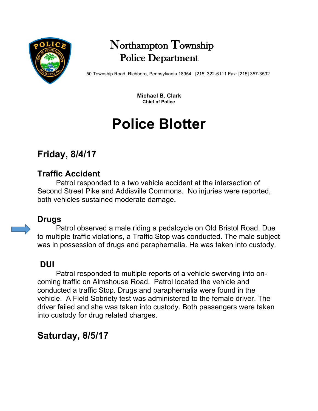

# Northampton Township Police Department

50 Township Road, Richboro, Pennsylvania 18954 [215] 322-6111 Fax: [215] 357-3592

 **Michael B. Clark Chief of Police**

# **Police Blotter**

# **Friday, 8/4/17**

## **Traffic Accident**

Patrol responded to a two vehicle accident at the intersection of Second Street Pike and Addisville Commons. No injuries were reported, both vehicles sustained moderate damage**.**

## **Drugs**

Patrol observed a male riding a pedalcycle on Old Bristol Road. Due to multiple traffic violations, a Traffic Stop was conducted. The male subject was in possession of drugs and paraphernalia. He was taken into custody.

### **DUI**

Patrol responded to multiple reports of a vehicle swerving into oncoming traffic on Almshouse Road. Patrol located the vehicle and conducted a traffic Stop. Drugs and paraphernalia were found in the vehicle. A Field Sobriety test was administered to the female driver. The driver failed and she was taken into custody. Both passengers were taken into custody for drug related charges.

# **Saturday, 8/5/17**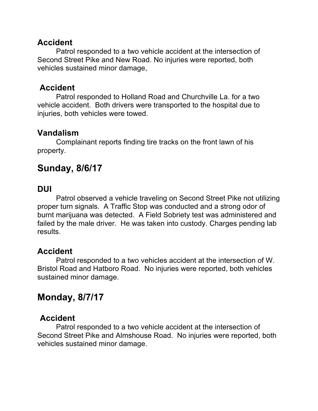#### **Accident**

Patrol responded to a two vehicle accident at the intersection of Second Street Pike and New Road. No injuries were reported, both vehicles sustained minor damage,

#### **Accident**

Patrol responded to Holland Road and Churchville La. for a two vehicle accident. Both drivers were transported to the hospital due to injuries, both vehicles were towed.

#### **Vandalism**

Complainant reports finding tire tracks on the front lawn of his property.

## **Sunday, 8/6/17**

#### **DUI**

Patrol observed a vehicle traveling on Second Street Pike not utilizing proper turn signals. A Traffic Stop was conducted and a strong odor of burnt marijuana was detected. A Field Sobriety test was administered and failed by the male driver. He was taken into custody. Charges pending lab results.

#### **Accident**

Patrol responded to a two vehicles accident at the intersection of W. Bristol Road and Hatboro Road. No injuries were reported, both vehicles sustained minor damage.

# **Monday, 8/7/17**

#### **Accident**

Patrol responded to a two vehicle accident at the intersection of Second Street Pike and Almshouse Road. No injuries were reported, both vehicles sustained minor damage.